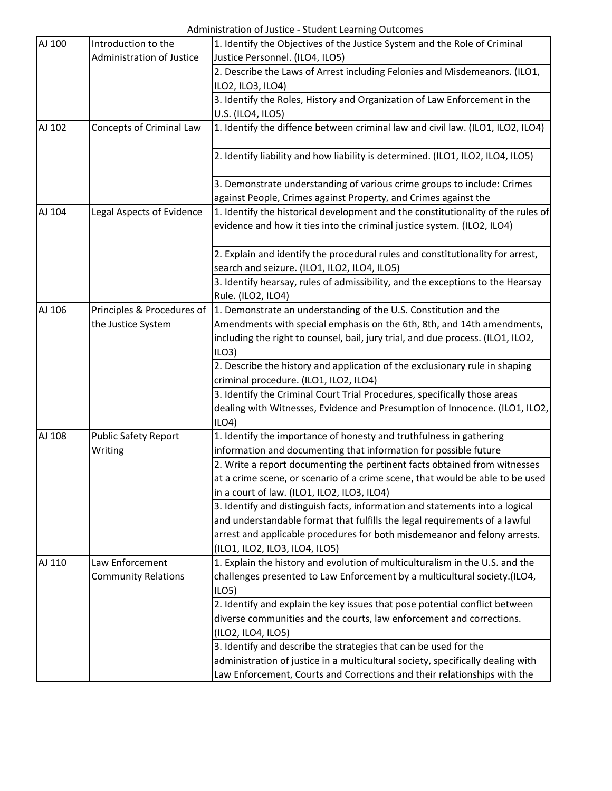| AJ 100 | Introduction to the         | 1. Identify the Objectives of the Justice System and the Role of Criminal               |
|--------|-----------------------------|-----------------------------------------------------------------------------------------|
|        | Administration of Justice   | Justice Personnel. (ILO4, ILO5)                                                         |
|        |                             | 2. Describe the Laws of Arrest including Felonies and Misdemeanors. (ILO1,              |
|        |                             | ILO2, ILO3, ILO4)                                                                       |
|        |                             | 3. Identify the Roles, History and Organization of Law Enforcement in the               |
|        |                             | U.S. (ILO4, ILO5)                                                                       |
| AJ 102 | Concepts of Criminal Law    | 1. Identify the diffence between criminal law and civil law. (ILO1, ILO2, ILO4)         |
|        |                             | 2. Identify liability and how liability is determined. (ILO1, ILO2, ILO4, ILO5)         |
|        |                             | 3. Demonstrate understanding of various crime groups to include: Crimes                 |
|        |                             | against People, Crimes against Property, and Crimes against the                         |
| AJ 104 | Legal Aspects of Evidence   | 1. Identify the historical development and the constitutionality of the rules of        |
|        |                             | evidence and how it ties into the criminal justice system. (ILO2, ILO4)                 |
|        |                             | 2. Explain and identify the procedural rules and constitutionality for arrest,          |
|        |                             | search and seizure. (ILO1, ILO2, ILO4, ILO5)                                            |
|        |                             | 3. Identify hearsay, rules of admissibility, and the exceptions to the Hearsay          |
|        |                             | Rule. (ILO2, ILO4)                                                                      |
| AJ 106 | Principles & Procedures of  | 1. Demonstrate an understanding of the U.S. Constitution and the                        |
|        | the Justice System          | Amendments with special emphasis on the 6th, 8th, and 14th amendments,                  |
|        |                             | including the right to counsel, bail, jury trial, and due process. (ILO1, ILO2,<br>ILO3 |
|        |                             | 2. Describe the history and application of the exclusionary rule in shaping             |
|        |                             | criminal procedure. (ILO1, ILO2, ILO4)                                                  |
|        |                             | 3. Identify the Criminal Court Trial Procedures, specifically those areas               |
|        |                             | dealing with Witnesses, Evidence and Presumption of Innocence. (ILO1, ILO2,             |
|        |                             | ILO4)                                                                                   |
| AJ 108 | <b>Public Safety Report</b> | 1. Identify the importance of honesty and truthfulness in gathering                     |
|        | Writing                     | information and documenting that information for possible future                        |
|        |                             | 2. Write a report documenting the pertinent facts obtained from witnesses               |
|        |                             | at a crime scene, or scenario of a crime scene, that would be able to be used           |
|        |                             | in a court of law. (ILO1, ILO2, ILO3, ILO4)                                             |
|        |                             | 3. Identify and distinguish facts, information and statements into a logical            |
|        |                             | and understandable format that fulfills the legal requirements of a lawful              |
|        |                             | arrest and applicable procedures for both misdemeanor and felony arrests.               |
|        |                             | (ILO1, ILO2, ILO3, ILO4, ILO5)                                                          |
| AJ 110 | Law Enforcement             | 1. Explain the history and evolution of multiculturalism in the U.S. and the            |
|        | <b>Community Relations</b>  | challenges presented to Law Enforcement by a multicultural society.(ILO4,               |
|        |                             | ILO <sub>5</sub>                                                                        |
|        |                             | 2. Identify and explain the key issues that pose potential conflict between             |
|        |                             | diverse communities and the courts, law enforcement and corrections.                    |
|        |                             | (ILO2, ILO4, ILO5)                                                                      |
|        |                             | 3. Identify and describe the strategies that can be used for the                        |
|        |                             | administration of justice in a multicultural society, specifically dealing with         |
|        |                             | Law Enforcement, Courts and Corrections and their relationships with the                |
|        |                             |                                                                                         |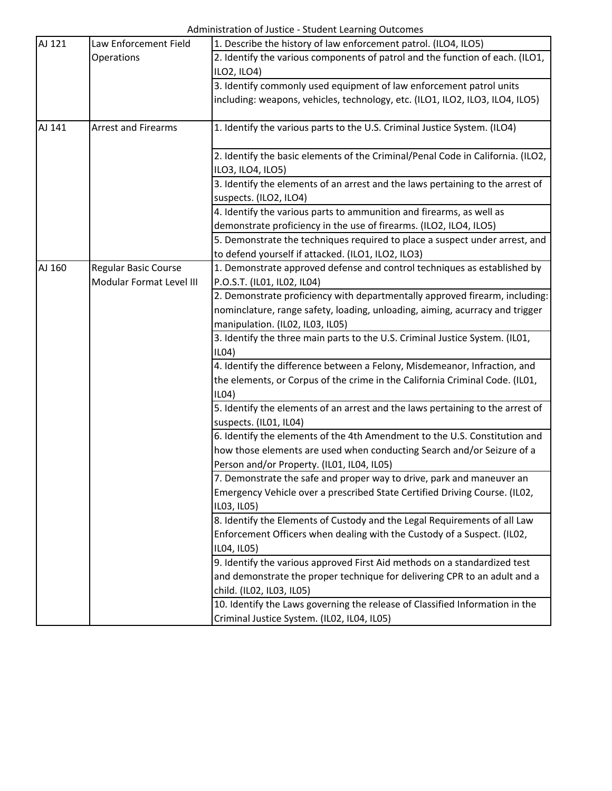| AJ 121 | Law Enforcement Field      | 1. Describe the history of law enforcement patrol. (ILO4, ILO5)                 |
|--------|----------------------------|---------------------------------------------------------------------------------|
|        | Operations                 | 2. Identify the various components of patrol and the function of each. (ILO1,   |
|        |                            | ILO2, ILO4)                                                                     |
|        |                            | 3. Identify commonly used equipment of law enforcement patrol units             |
|        |                            | including: weapons, vehicles, technology, etc. (ILO1, ILO2, ILO3, ILO4, ILO5)   |
|        |                            |                                                                                 |
| AJ 141 | <b>Arrest and Firearms</b> | 1. Identify the various parts to the U.S. Criminal Justice System. (ILO4)       |
|        |                            | 2. Identify the basic elements of the Criminal/Penal Code in California. (ILO2, |
|        |                            | ILO3, ILO4, ILO5)                                                               |
|        |                            | 3. Identify the elements of an arrest and the laws pertaining to the arrest of  |
|        |                            | suspects. (ILO2, ILO4)                                                          |
|        |                            | 4. Identify the various parts to ammunition and firearms, as well as            |
|        |                            | demonstrate proficiency in the use of firearms. (ILO2, ILO4, ILO5)              |
|        |                            | 5. Demonstrate the techniques required to place a suspect under arrest, and     |
|        |                            | to defend yourself if attacked. (ILO1, ILO2, ILO3)                              |
| AJ 160 | Regular Basic Course       | 1. Demonstrate approved defense and control techniques as established by        |
|        | Modular Format Level III   | P.O.S.T. (IL01, IL02, IL04)                                                     |
|        |                            | 2. Demonstrate proficiency with departmentally approved firearm, including:     |
|        |                            | nominclature, range safety, loading, unloading, aiming, acurracy and trigger    |
|        |                            | manipulation. (IL02, IL03, IL05)                                                |
|        |                            | 3. Identify the three main parts to the U.S. Criminal Justice System. (IL01,    |
|        |                            | ILO4                                                                            |
|        |                            | 4. Identify the difference between a Felony, Misdemeanor, Infraction, and       |
|        |                            | the elements, or Corpus of the crime in the California Criminal Code. (IL01,    |
|        |                            | ILO4                                                                            |
|        |                            | 5. Identify the elements of an arrest and the laws pertaining to the arrest of  |
|        |                            | suspects. (IL01, IL04)                                                          |
|        |                            | 6. Identify the elements of the 4th Amendment to the U.S. Constitution and      |
|        |                            | how those elements are used when conducting Search and/or Seizure of a          |
|        |                            | Person and/or Property. (IL01, IL04, IL05)                                      |
|        |                            | 7. Demonstrate the safe and proper way to drive, park and maneuver an           |
|        |                            | Emergency Vehicle over a prescribed State Certified Driving Course. (ILO2,      |
|        |                            | IL03, IL05)                                                                     |
|        |                            | 8. Identify the Elements of Custody and the Legal Requirements of all Law       |
|        |                            | Enforcement Officers when dealing with the Custody of a Suspect. (IL02,         |
|        |                            | IL04, IL05)                                                                     |
|        |                            | 9. Identify the various approved First Aid methods on a standardized test       |
|        |                            | and demonstrate the proper technique for delivering CPR to an adult and a       |
|        |                            | child. (IL02, IL03, IL05)                                                       |
|        |                            | 10. Identify the Laws governing the release of Classified Information in the    |
|        |                            | Criminal Justice System. (IL02, IL04, IL05)                                     |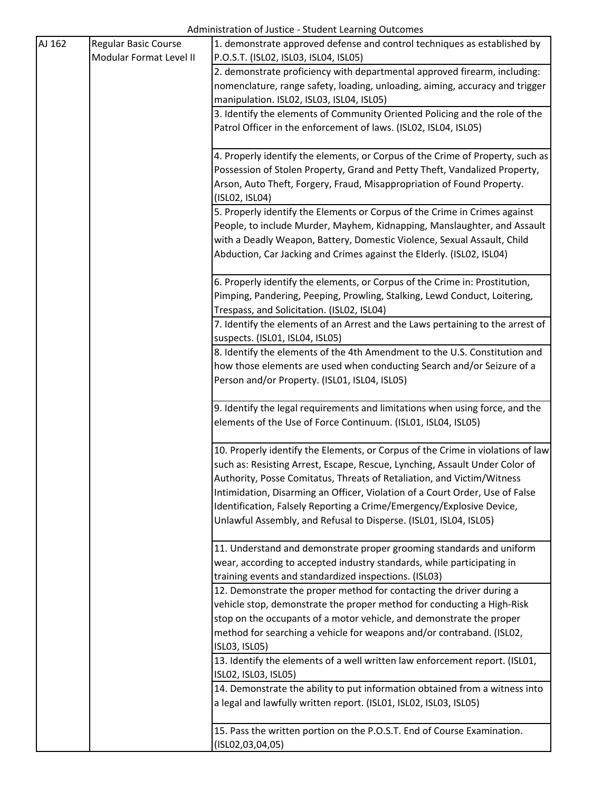| AJ 162 | <b>Regular Basic Course</b> | 1. demonstrate approved defense and control techniques as established by        |
|--------|-----------------------------|---------------------------------------------------------------------------------|
|        | Modular Format Level II     | P.O.S.T. (ISL02, ISL03, ISL04, ISL05)                                           |
|        |                             | 2. demonstrate proficiency with departmental approved firearm, including:       |
|        |                             | nomenclature, range safety, loading, unloading, aiming, accuracy and trigger    |
|        |                             | manipulation. ISL02, ISL03, ISL04, ISL05)                                       |
|        |                             | 3. Identify the elements of Community Oriented Policing and the role of the     |
|        |                             | Patrol Officer in the enforcement of laws. (ISL02, ISL04, ISL05)                |
|        |                             |                                                                                 |
|        |                             | 4. Properly identify the elements, or Corpus of the Crime of Property, such as  |
|        |                             | Possession of Stolen Property, Grand and Petty Theft, Vandalized Property,      |
|        |                             | Arson, Auto Theft, Forgery, Fraud, Misappropriation of Found Property.          |
|        |                             | (ISL02, ISL04)                                                                  |
|        |                             | 5. Properly identify the Elements or Corpus of the Crime in Crimes against      |
|        |                             | People, to include Murder, Mayhem, Kidnapping, Manslaughter, and Assault        |
|        |                             | with a Deadly Weapon, Battery, Domestic Violence, Sexual Assault, Child         |
|        |                             | Abduction, Car Jacking and Crimes against the Elderly. (ISL02, ISL04)           |
|        |                             |                                                                                 |
|        |                             | 6. Properly identify the elements, or Corpus of the Crime in: Prostitution,     |
|        |                             | Pimping, Pandering, Peeping, Prowling, Stalking, Lewd Conduct, Loitering,       |
|        |                             | Trespass, and Solicitation. (ISL02, ISL04)                                      |
|        |                             | 7. Identify the elements of an Arrest and the Laws pertaining to the arrest of  |
|        |                             | suspects. (ISL01, ISL04, ISL05)                                                 |
|        |                             | 8. Identify the elements of the 4th Amendment to the U.S. Constitution and      |
|        |                             | how those elements are used when conducting Search and/or Seizure of a          |
|        |                             | Person and/or Property. (ISL01, ISL04, ISL05)                                   |
|        |                             |                                                                                 |
|        |                             | 9. Identify the legal requirements and limitations when using force, and the    |
|        |                             | elements of the Use of Force Continuum. (ISL01, ISL04, ISL05)                   |
|        |                             |                                                                                 |
|        |                             | 10. Properly identify the Elements, or Corpus of the Crime in violations of law |
|        |                             | such as: Resisting Arrest, Escape, Rescue, Lynching, Assault Under Color of     |
|        |                             | Authority, Posse Comitatus, Threats of Retaliation, and Victim/Witness          |
|        |                             | Intimidation, Disarming an Officer, Violation of a Court Order, Use of False    |
|        |                             | Identification, Falsely Reporting a Crime/Emergency/Explosive Device,           |
|        |                             | Unlawful Assembly, and Refusal to Disperse. (ISL01, ISL04, ISL05)               |
|        |                             |                                                                                 |
|        |                             | 11. Understand and demonstrate proper grooming standards and uniform            |
|        |                             | wear, according to accepted industry standards, while participating in          |
|        |                             | training events and standardized inspections. (ISL03)                           |
|        |                             | 12. Demonstrate the proper method for contacting the driver during a            |
|        |                             | vehicle stop, demonstrate the proper method for conducting a High-Risk          |
|        |                             | stop on the occupants of a motor vehicle, and demonstrate the proper            |
|        |                             | method for searching a vehicle for weapons and/or contraband. (ISL02,           |
|        |                             | ISL03, ISL05)                                                                   |
|        |                             | 13. Identify the elements of a well written law enforcement report. (ISL01,     |
|        |                             | ISL02, ISL03, ISL05)                                                            |
|        |                             | 14. Demonstrate the ability to put information obtained from a witness into     |
|        |                             | a legal and lawfully written report. (ISL01, ISL02, ISL03, ISL05)               |
|        |                             |                                                                                 |
|        |                             | 15. Pass the written portion on the P.O.S.T. End of Course Examination.         |
|        |                             | (ISLO2, 03, 04, 05)                                                             |